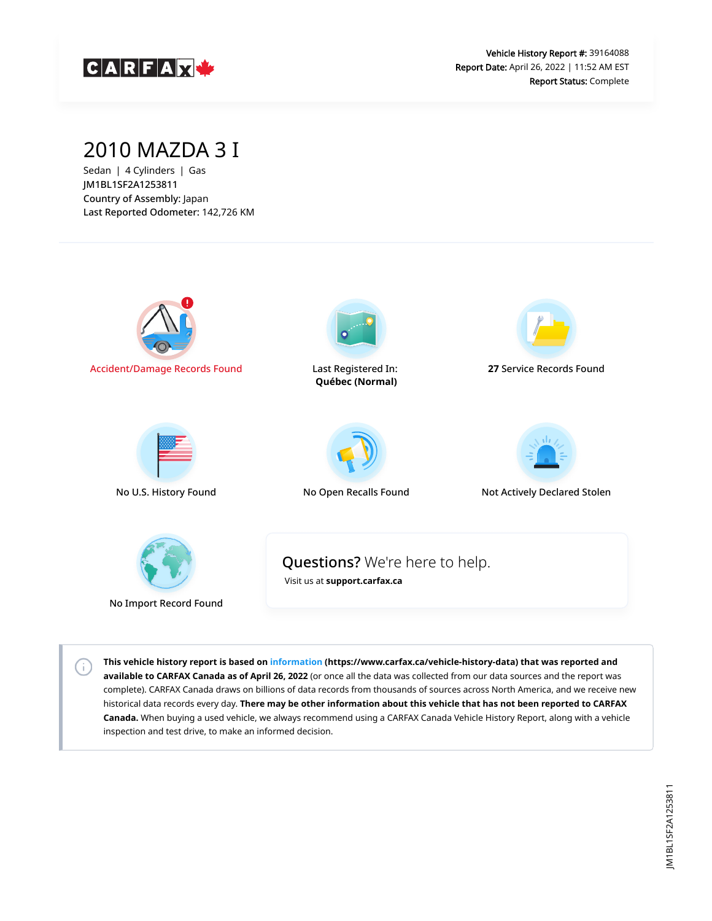![](_page_0_Picture_0.jpeg)

#### 2010 MAZDA 3 I

Sedan | 4 Cylinders | Gas JM1BL1SF2A1253811 Country of Assembly: Japan Last Reported Odometer: 142,726 KM

 $\left( \cdot \right)$ 

![](_page_0_Figure_4.jpeg)

**This vehicle history report is based on [information](https://www.carfax.ca/vehicle-history-data) (https://www.carfax.ca/vehicle-history-data) that was reported and available to CARFAX Canada as of April 26, 2022** (or once all the data was collected from our data sources and the report was complete). CARFAX Canada draws on billions of data records from thousands of sources across North America, and we receive new historical data records every day. **There may be other information about this vehicle that has not been reported to CARFAX Canada.** When buying a used vehicle, we always recommend using a CARFAX Canada Vehicle History Report, along with a vehicle inspection and test drive, to make an informed decision.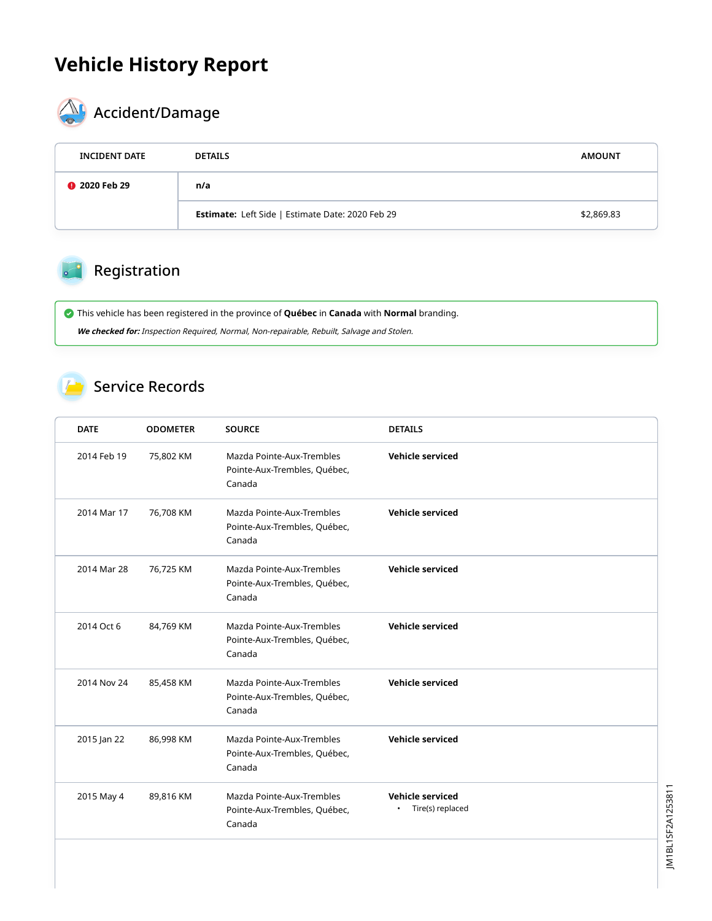### **Vehicle History Report**

![](_page_1_Picture_1.jpeg)

# $\bigotimes$  Accident/Damage

| <b>INCIDENT DATE</b> | <b>DETAILS</b>                                          | <b>AMOUNT</b> |
|----------------------|---------------------------------------------------------|---------------|
| <b>@</b> 2020 Feb 29 | n/a                                                     |               |
|                      | <b>Estimate:</b> Left Side   Estimate Date: 2020 Feb 29 | \$2,869.83    |

#### Registration

 This vehicle has been registered in the province of **Québec** in **Canada** with **Normal** branding. **We checked for:** Inspection Required, Normal, Non-repairable, Rebuilt, Salvage and Stolen.

#### Service Records

| <b>DATE</b> | <b>ODOMETER</b> | <b>SOURCE</b>                                                       | <b>DETAILS</b>                                    |
|-------------|-----------------|---------------------------------------------------------------------|---------------------------------------------------|
| 2014 Feb 19 | 75,802 KM       | Mazda Pointe-Aux-Trembles<br>Pointe-Aux-Trembles, Québec,<br>Canada | Vehicle serviced                                  |
| 2014 Mar 17 | 76,708 KM       | Mazda Pointe-Aux-Trembles<br>Pointe-Aux-Trembles, Québec,<br>Canada | Vehicle serviced                                  |
| 2014 Mar 28 | 76,725 KM       | Mazda Pointe-Aux-Trembles<br>Pointe-Aux-Trembles, Québec,<br>Canada | Vehicle serviced                                  |
| 2014 Oct 6  | 84,769 KM       | Mazda Pointe-Aux-Trembles<br>Pointe-Aux-Trembles, Québec,<br>Canada | <b>Vehicle serviced</b>                           |
| 2014 Nov 24 | 85,458 KM       | Mazda Pointe-Aux-Trembles<br>Pointe-Aux-Trembles, Québec,<br>Canada | Vehicle serviced                                  |
| 2015 Jan 22 | 86,998 KM       | Mazda Pointe-Aux-Trembles<br>Pointe-Aux-Trembles, Québec,<br>Canada | <b>Vehicle serviced</b>                           |
| 2015 May 4  | 89,816 KM       | Mazda Pointe-Aux-Trembles<br>Pointe-Aux-Trembles, Québec,<br>Canada | Vehicle serviced<br>Tire(s) replaced<br>$\bullet$ |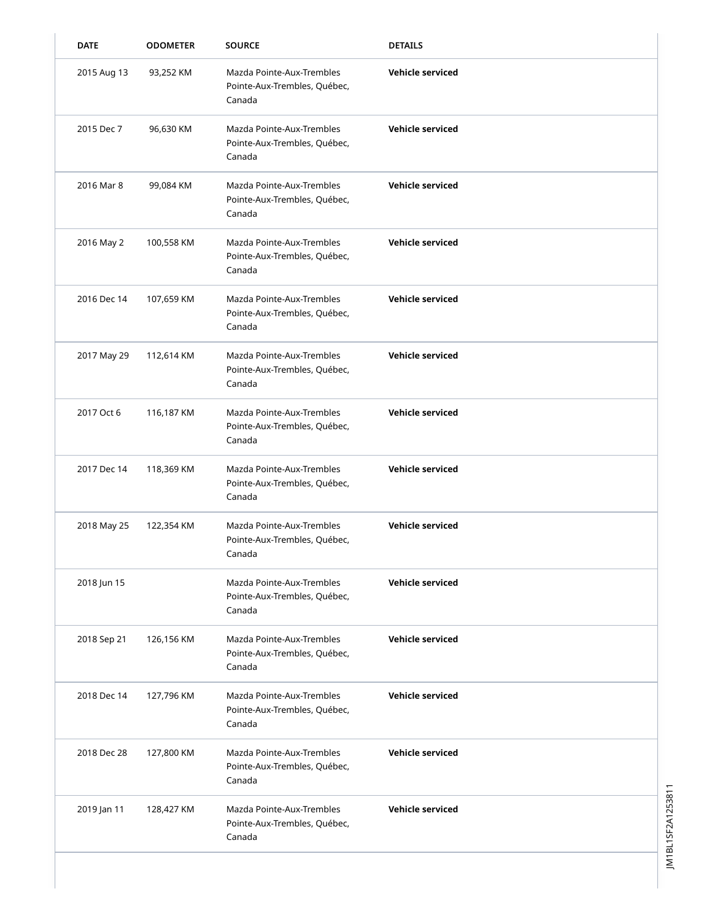| <b>DATE</b> | <b>ODOMETER</b> | <b>SOURCE</b>                                                       | <b>DETAILS</b>          |
|-------------|-----------------|---------------------------------------------------------------------|-------------------------|
| 2015 Aug 13 | 93,252 KM       | Mazda Pointe-Aux-Trembles<br>Pointe-Aux-Trembles, Québec,<br>Canada | <b>Vehicle serviced</b> |
| 2015 Dec 7  | 96,630 KM       | Mazda Pointe-Aux-Trembles<br>Pointe-Aux-Trembles, Québec,<br>Canada | Vehicle serviced        |
| 2016 Mar 8  | 99,084 KM       | Mazda Pointe-Aux-Trembles<br>Pointe-Aux-Trembles, Québec,<br>Canada | Vehicle serviced        |
| 2016 May 2  | 100,558 KM      | Mazda Pointe-Aux-Trembles<br>Pointe-Aux-Trembles, Québec,<br>Canada | Vehicle serviced        |
| 2016 Dec 14 | 107,659 KM      | Mazda Pointe-Aux-Trembles<br>Pointe-Aux-Trembles, Québec,<br>Canada | <b>Vehicle serviced</b> |
| 2017 May 29 | 112,614 KM      | Mazda Pointe-Aux-Trembles<br>Pointe-Aux-Trembles, Québec,<br>Canada | Vehicle serviced        |
| 2017 Oct 6  | 116,187 KM      | Mazda Pointe-Aux-Trembles<br>Pointe-Aux-Trembles, Québec,<br>Canada | <b>Vehicle serviced</b> |
| 2017 Dec 14 | 118,369 KM      | Mazda Pointe-Aux-Trembles<br>Pointe-Aux-Trembles, Québec,<br>Canada | <b>Vehicle serviced</b> |
| 2018 May 25 | 122,354 KM      | Mazda Pointe-Aux-Trembles<br>Pointe-Aux-Trembles, Québec,<br>Canada | <b>Vehicle serviced</b> |
| 2018 Jun 15 |                 | Mazda Pointe-Aux-Trembles<br>Pointe-Aux-Trembles, Québec,<br>Canada | Vehicle serviced        |
| 2018 Sep 21 | 126,156 KM      | Mazda Pointe-Aux-Trembles<br>Pointe-Aux-Trembles, Québec,<br>Canada | Vehicle serviced        |
| 2018 Dec 14 | 127,796 KM      | Mazda Pointe-Aux-Trembles<br>Pointe-Aux-Trembles, Québec,<br>Canada | Vehicle serviced        |
| 2018 Dec 28 | 127,800 KM      | Mazda Pointe-Aux-Trembles<br>Pointe-Aux-Trembles, Québec,<br>Canada | <b>Vehicle serviced</b> |
| 2019 Jan 11 | 128,427 KM      | Mazda Pointe-Aux-Trembles<br>Pointe-Aux-Trembles, Québec,<br>Canada | Vehicle serviced        |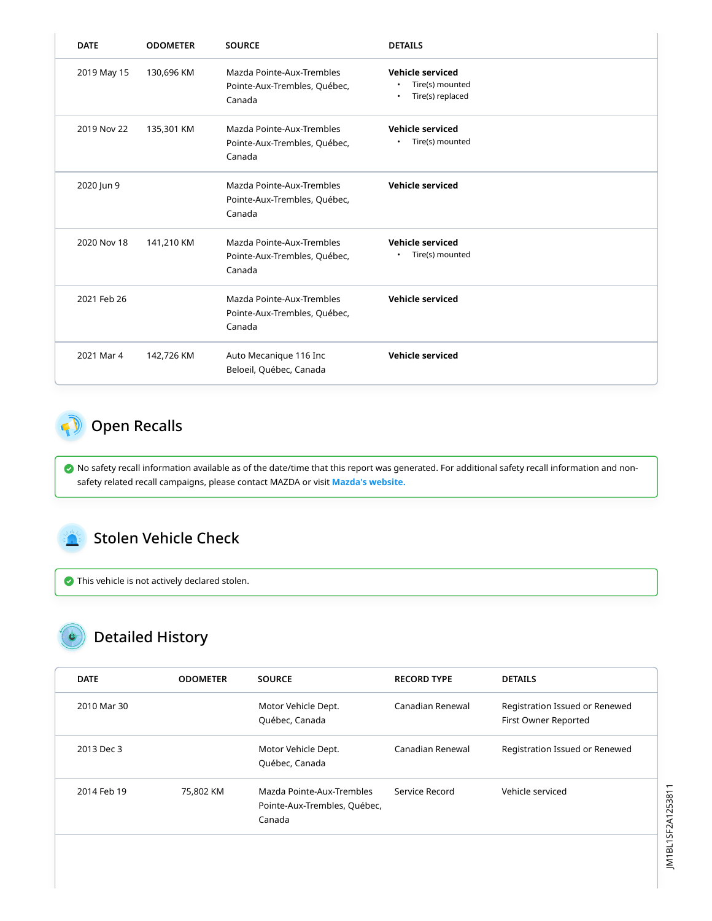| <b>DATE</b> | <b>ODOMETER</b> | <b>SOURCE</b>                                                       | <b>DETAILS</b>                                                                    |
|-------------|-----------------|---------------------------------------------------------------------|-----------------------------------------------------------------------------------|
| 2019 May 15 | 130,696 KM      | Mazda Pointe-Aux-Trembles<br>Pointe-Aux-Trembles, Québec,<br>Canada | Vehicle serviced<br>Tire(s) mounted<br>$\bullet$<br>Tire(s) replaced<br>$\bullet$ |
| 2019 Nov 22 | 135,301 KM      | Mazda Pointe-Aux-Trembles<br>Pointe-Aux-Trembles, Québec,<br>Canada | Vehicle serviced<br>Tire(s) mounted<br>$\bullet$                                  |
| 2020 Jun 9  |                 | Mazda Pointe-Aux-Trembles<br>Pointe-Aux-Trembles, Québec,<br>Canada | Vehicle serviced                                                                  |
| 2020 Nov 18 | 141,210 KM      | Mazda Pointe-Aux-Trembles<br>Pointe-Aux-Trembles, Québec,<br>Canada | Vehicle serviced<br>Tire(s) mounted<br>$\bullet$                                  |
| 2021 Feb 26 |                 | Mazda Pointe-Aux-Trembles<br>Pointe-Aux-Trembles, Québec,<br>Canada | <b>Vehicle serviced</b>                                                           |
| 2021 Mar 4  | 142,726 KM      | Auto Mecanique 116 Inc<br>Beloeil, Québec, Canada                   | Vehicle serviced                                                                  |

#### <span id="page-3-0"></span>**Open Recalls**

 No safety recall information available as of the date/time that this report was generated. For additional safety recall information and nonsafety related recall campaigns, please contact MAZDA or visit **[Mazda's website.](https://www.mazda.ca/en/owners/recalls/)**

#### <span id="page-3-1"></span>Stolen Vehicle Check

This vehicle is not actively declared stolen.

### Detailed History

| <b>DATE</b> | <b>ODOMETER</b> | <b>SOURCE</b>                                                       | <b>RECORD TYPE</b> | <b>DETAILS</b>                                         |
|-------------|-----------------|---------------------------------------------------------------------|--------------------|--------------------------------------------------------|
| 2010 Mar 30 |                 | Motor Vehicle Dept.<br>Québec, Canada                               | Canadian Renewal   | Registration Issued or Renewed<br>First Owner Reported |
| 2013 Dec 3  |                 | Motor Vehicle Dept.<br>Québec, Canada                               | Canadian Renewal   | Registration Issued or Renewed                         |
| 2014 Feb 19 | 75,802 KM       | Mazda Pointe-Aux-Trembles<br>Pointe-Aux-Trembles, Québec,<br>Canada | Service Record     | Vehicle serviced                                       |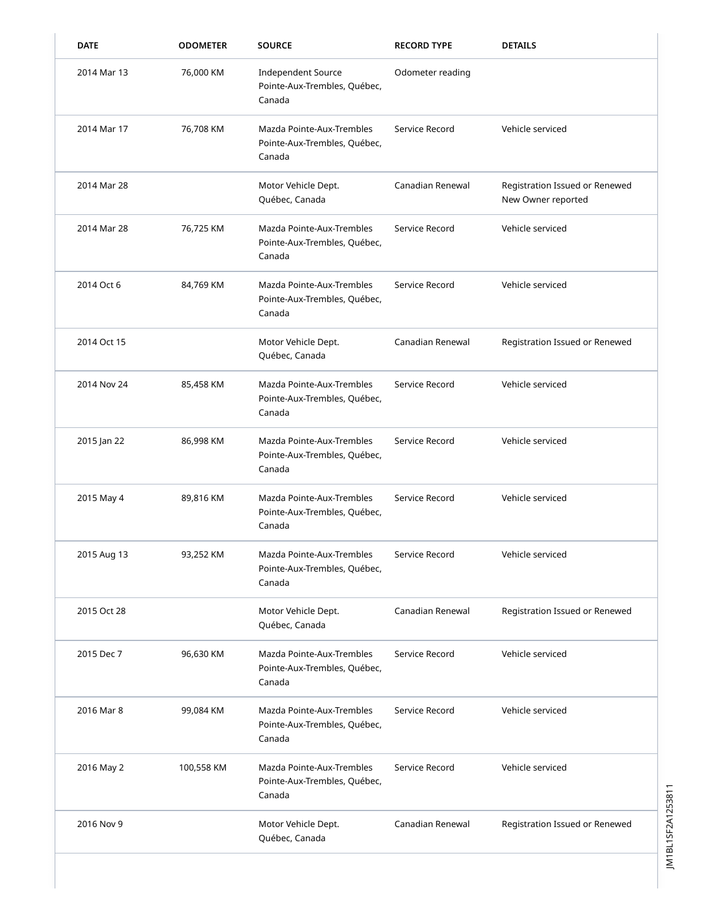| <b>DATE</b> | <b>ODOMETER</b> | <b>SOURCE</b>                                                       | <b>RECORD TYPE</b> | <b>DETAILS</b>                                       |
|-------------|-----------------|---------------------------------------------------------------------|--------------------|------------------------------------------------------|
| 2014 Mar 13 | 76,000 KM       | <b>Independent Source</b><br>Pointe-Aux-Trembles, Québec,<br>Canada | Odometer reading   |                                                      |
| 2014 Mar 17 | 76,708 KM       | Mazda Pointe-Aux-Trembles<br>Pointe-Aux-Trembles, Québec,<br>Canada | Service Record     | Vehicle serviced                                     |
| 2014 Mar 28 |                 | Motor Vehicle Dept.<br>Québec, Canada                               | Canadian Renewal   | Registration Issued or Renewed<br>New Owner reported |
| 2014 Mar 28 | 76,725 KM       | Mazda Pointe-Aux-Trembles<br>Pointe-Aux-Trembles, Québec,<br>Canada | Service Record     | Vehicle serviced                                     |
| 2014 Oct 6  | 84,769 KM       | Mazda Pointe-Aux-Trembles<br>Pointe-Aux-Trembles, Québec,<br>Canada | Service Record     | Vehicle serviced                                     |
| 2014 Oct 15 |                 | Motor Vehicle Dept.<br>Québec, Canada                               | Canadian Renewal   | Registration Issued or Renewed                       |
| 2014 Nov 24 | 85,458 KM       | Mazda Pointe-Aux-Trembles<br>Pointe-Aux-Trembles, Québec,<br>Canada | Service Record     | Vehicle serviced                                     |
| 2015 Jan 22 | 86,998 KM       | Mazda Pointe-Aux-Trembles<br>Pointe-Aux-Trembles, Québec,<br>Canada | Service Record     | Vehicle serviced                                     |
| 2015 May 4  | 89,816 KM       | Mazda Pointe-Aux-Trembles<br>Pointe-Aux-Trembles, Québec,<br>Canada | Service Record     | Vehicle serviced                                     |
| 2015 Aug 13 | 93,252 KM       | Mazda Pointe-Aux-Trembles<br>Pointe-Aux-Trembles, Québec,<br>Canada | Service Record     | Vehicle serviced                                     |
| 2015 Oct 28 |                 | Motor Vehicle Dept.<br>Québec, Canada                               | Canadian Renewal   | Registration Issued or Renewed                       |
| 2015 Dec 7  | 96,630 KM       | Mazda Pointe-Aux-Trembles<br>Pointe-Aux-Trembles, Québec,<br>Canada | Service Record     | Vehicle serviced                                     |
| 2016 Mar 8  | 99,084 KM       | Mazda Pointe-Aux-Trembles<br>Pointe-Aux-Trembles, Québec,<br>Canada | Service Record     | Vehicle serviced                                     |
| 2016 May 2  | 100,558 KM      | Mazda Pointe-Aux-Trembles<br>Pointe-Aux-Trembles, Québec,<br>Canada | Service Record     | Vehicle serviced                                     |
| 2016 Nov 9  |                 | Motor Vehicle Dept.<br>Québec, Canada                               | Canadian Renewal   | Registration Issued or Renewed                       |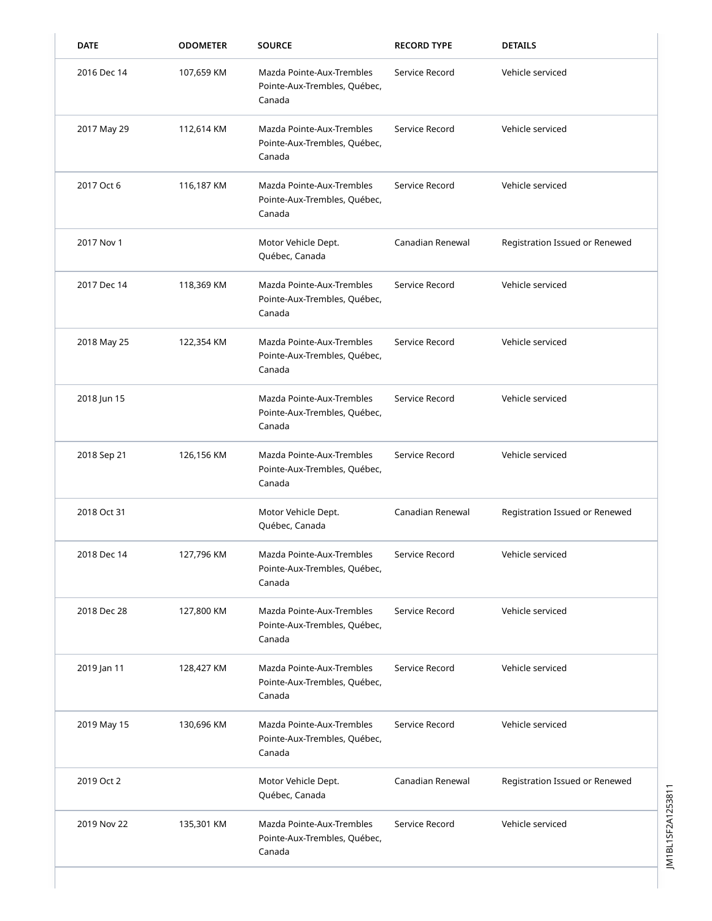| <b>DATE</b> | <b>ODOMETER</b> | <b>SOURCE</b>                                                       | <b>RECORD TYPE</b> | <b>DETAILS</b>                 |
|-------------|-----------------|---------------------------------------------------------------------|--------------------|--------------------------------|
| 2016 Dec 14 | 107,659 KM      | Mazda Pointe-Aux-Trembles<br>Pointe-Aux-Trembles, Québec,<br>Canada | Service Record     | Vehicle serviced               |
| 2017 May 29 | 112,614 KM      | Mazda Pointe-Aux-Trembles<br>Pointe-Aux-Trembles, Québec,<br>Canada | Service Record     | Vehicle serviced               |
| 2017 Oct 6  | 116,187 KM      | Mazda Pointe-Aux-Trembles<br>Pointe-Aux-Trembles, Québec,<br>Canada | Service Record     | Vehicle serviced               |
| 2017 Nov 1  |                 | Motor Vehicle Dept.<br>Québec, Canada                               | Canadian Renewal   | Registration Issued or Renewed |
| 2017 Dec 14 | 118,369 KM      | Mazda Pointe-Aux-Trembles<br>Pointe-Aux-Trembles, Québec,<br>Canada | Service Record     | Vehicle serviced               |
| 2018 May 25 | 122,354 KM      | Mazda Pointe-Aux-Trembles<br>Pointe-Aux-Trembles, Québec,<br>Canada | Service Record     | Vehicle serviced               |
| 2018 Jun 15 |                 | Mazda Pointe-Aux-Trembles<br>Pointe-Aux-Trembles, Québec,<br>Canada | Service Record     | Vehicle serviced               |
| 2018 Sep 21 | 126,156 KM      | Mazda Pointe-Aux-Trembles<br>Pointe-Aux-Trembles, Québec,<br>Canada | Service Record     | Vehicle serviced               |
| 2018 Oct 31 |                 | Motor Vehicle Dept.<br>Québec, Canada                               | Canadian Renewal   | Registration Issued or Renewed |
| 2018 Dec 14 | 127,796 KM      | Mazda Pointe-Aux-Trembles<br>Pointe-Aux-Trembles, Québec,<br>Canada | Service Record     | Vehicle serviced               |
| 2018 Dec 28 | 127,800 KM      | Mazda Pointe-Aux-Trembles<br>Pointe-Aux-Trembles, Québec,<br>Canada | Service Record     | Vehicle serviced               |
| 2019 Jan 11 | 128,427 KM      | Mazda Pointe-Aux-Trembles<br>Pointe-Aux-Trembles, Québec,<br>Canada | Service Record     | Vehicle serviced               |
| 2019 May 15 | 130,696 KM      | Mazda Pointe-Aux-Trembles<br>Pointe-Aux-Trembles, Québec,<br>Canada | Service Record     | Vehicle serviced               |
| 2019 Oct 2  |                 | Motor Vehicle Dept.<br>Québec, Canada                               | Canadian Renewal   | Registration Issued or Renewed |
| 2019 Nov 22 | 135,301 KM      | Mazda Pointe-Aux-Trembles<br>Pointe-Aux-Trembles, Québec,<br>Canada | Service Record     | Vehicle serviced               |